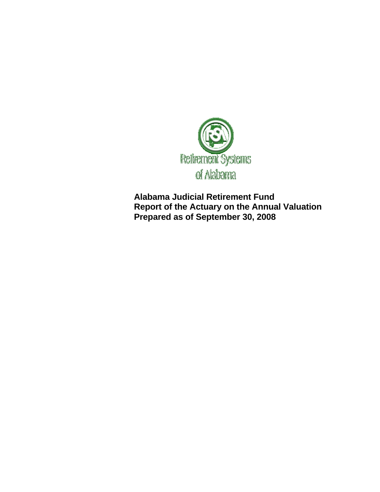

**Alabama Judicial Retirement Fund Report of the Actuary on the Annual Valuation Prepared as of September 30, 2008**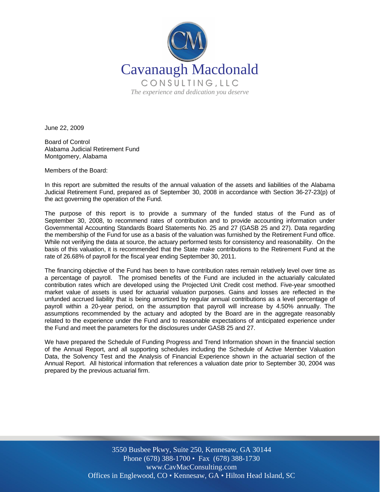

June 22, 2009

Board of Control Alabama Judicial Retirement Fund Montgomery, Alabama

Members of the Board:

In this report are submitted the results of the annual valuation of the assets and liabilities of the Alabama Judicial Retirement Fund, prepared as of September 30, 2008 in accordance with Section 36-27-23(p) of the act governing the operation of the Fund.

The purpose of this report is to provide a summary of the funded status of the Fund as of September 30, 2008, to recommend rates of contribution and to provide accounting information under Governmental Accounting Standards Board Statements No. 25 and 27 (GASB 25 and 27). Data regarding the membership of the Fund for use as a basis of the valuation was furnished by the Retirement Fund office. While not verifying the data at source, the actuary performed tests for consistency and reasonability. On the basis of this valuation, it is recommended that the State make contributions to the Retirement Fund at the rate of 26.68% of payroll for the fiscal year ending September 30, 2011.

The financing objective of the Fund has been to have contribution rates remain relatively level over time as a percentage of payroll. The promised benefits of the Fund are included in the actuarially calculated contribution rates which are developed using the Projected Unit Credit cost method. Five-year smoothed market value of assets is used for actuarial valuation purposes. Gains and losses are reflected in the unfunded accrued liability that is being amortized by regular annual contributions as a level percentage of payroll within a 20-year period, on the assumption that payroll will increase by 4.50% annually. The assumptions recommended by the actuary and adopted by the Board are in the aggregate reasonably related to the experience under the Fund and to reasonable expectations of anticipated experience under the Fund and meet the parameters for the disclosures under GASB 25 and 27.

We have prepared the Schedule of Funding Progress and Trend Information shown in the financial section of the Annual Report, and all supporting schedules including the Schedule of Active Member Valuation Data, the Solvency Test and the Analysis of Financial Experience shown in the actuarial section of the Annual Report. All historical information that references a valuation date prior to September 30, 2004 was prepared by the previous actuarial firm.

> 3550 Busbee Pkwy, Suite 250, Kennesaw, GA 30144 Phone (678) 388-1700 • Fax (678) 388-1730 www.CavMacConsulting.com Offices in Englewood, CO • Kennesaw, GA • Hilton Head Island, SC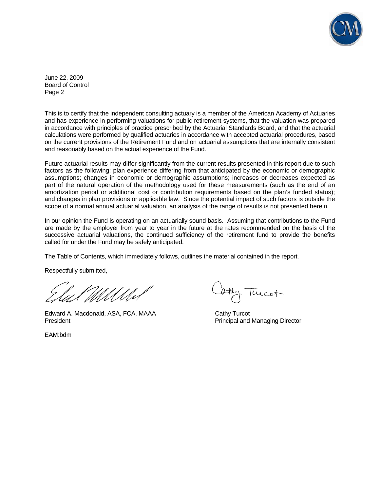

June 22, 2009 Board of Control Page 2

This is to certify that the independent consulting actuary is a member of the American Academy of Actuaries and has experience in performing valuations for public retirement systems, that the valuation was prepared in accordance with principles of practice prescribed by the Actuarial Standards Board, and that the actuarial calculations were performed by qualified actuaries in accordance with accepted actuarial procedures, based on the current provisions of the Retirement Fund and on actuarial assumptions that are internally consistent and reasonably based on the actual experience of the Fund.

Future actuarial results may differ significantly from the current results presented in this report due to such factors as the following: plan experience differing from that anticipated by the economic or demographic assumptions; changes in economic or demographic assumptions; increases or decreases expected as part of the natural operation of the methodology used for these measurements (such as the end of an amortization period or additional cost or contribution requirements based on the plan's funded status); and changes in plan provisions or applicable law. Since the potential impact of such factors is outside the scope of a normal annual actuarial valuation, an analysis of the range of results is not presented herein.

In our opinion the Fund is operating on an actuarially sound basis. Assuming that contributions to the Fund are made by the employer from year to year in the future at the rates recommended on the basis of the successive actuarial valuations, the continued sufficiency of the retirement fund to provide the benefits called for under the Fund may be safely anticipated.

The Table of Contents, which immediately follows, outlines the material contained in the report.

Respectfully submitted,

Edward A. Macdonald, ASA, FCA, MAAA Cathy Turcot President **President** Principal and Managing Director

EAM:bdm

thy Turcot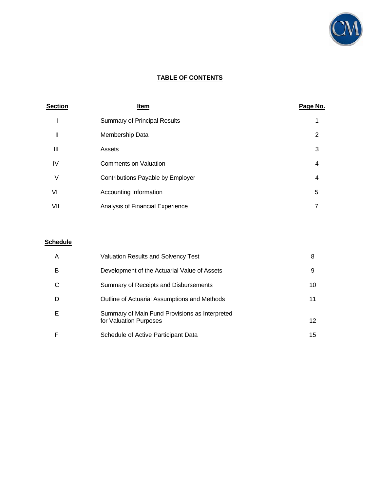

# **TABLE OF CONTENTS**

| <b>Section</b> | Item                                | Page No.       |
|----------------|-------------------------------------|----------------|
|                | <b>Summary of Principal Results</b> | 1              |
| Ш              | Membership Data                     | 2              |
| Ш              | Assets                              | 3              |
| IV             | <b>Comments on Valuation</b>        | 4              |
| V              | Contributions Payable by Employer   | $\overline{4}$ |
| VI             | Accounting Information              | 5              |
| VII            | Analysis of Financial Experience    | 7              |

### **Schedule**

| A | Valuation Results and Solvency Test                                      | 8  |
|---|--------------------------------------------------------------------------|----|
| в | Development of the Actuarial Value of Assets                             | 9  |
| ⌒ | Summary of Receipts and Disbursements                                    | 10 |
| D | Outline of Actuarial Assumptions and Methods                             | 11 |
| Е | Summary of Main Fund Provisions as Interpreted<br>for Valuation Purposes | 12 |
|   | Schedule of Active Participant Data                                      | 15 |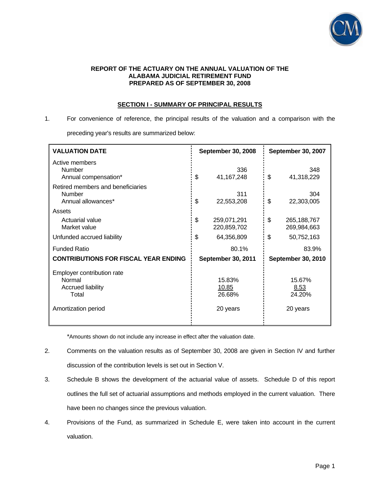

#### **REPORT OF THE ACTUARY ON THE ANNUAL VALUATION OF THE ALABAMA JUDICIAL RETIREMENT FUND PREPARED AS OF SEPTEMBER 30, 2008**

# **SECTION I - SUMMARY OF PRINCIPAL RESULTS**

1. For convenience of reference, the principal results of the valuation and a comparison with the preceding year's results are summarized below:

| <b>VALUATION DATE</b>                                                                            |    | <b>September 30, 2008</b>             | September 30, 2007                   |
|--------------------------------------------------------------------------------------------------|----|---------------------------------------|--------------------------------------|
| Active members<br><b>Number</b><br>Annual compensation*                                          | \$ | 336<br>41, 167, 248                   | \$<br>348<br>41,318,229              |
| Retired members and beneficiaries<br><b>Number</b><br>Annual allowances*                         | \$ | 311<br>22,553,208                     | \$<br>304<br>22,303,005              |
| Assets<br>Actuarial value<br>Market value                                                        | \$ | 259,071,291<br>220,859,702            | \$<br>265, 188, 767<br>269,984,663   |
| Unfunded accrued liability                                                                       | \$ | 64,356,809                            | \$<br>50,752,163                     |
| <b>Funded Ratio</b>                                                                              |    | 80.1%                                 | 83.9%                                |
| <b>CONTRIBUTIONS FOR FISCAL YEAR ENDING</b>                                                      |    | <b>September 30, 2011</b>             | <b>September 30, 2010</b>            |
| Employer contribution rate<br>Normal<br><b>Accrued liability</b><br>Total<br>Amortization period |    | 15.83%<br>10.85<br>26.68%<br>20 years | 15.67%<br>8.53<br>24.20%<br>20 years |

\*Amounts shown do not include any increase in effect after the valuation date.

- 2. Comments on the valuation results as of September 30, 2008 are given in Section IV and further discussion of the contribution levels is set out in Section V.
- 3. Schedule B shows the development of the actuarial value of assets. Schedule D of this report outlines the full set of actuarial assumptions and methods employed in the current valuation. There have been no changes since the previous valuation.
- 4. Provisions of the Fund, as summarized in Schedule E, were taken into account in the current valuation.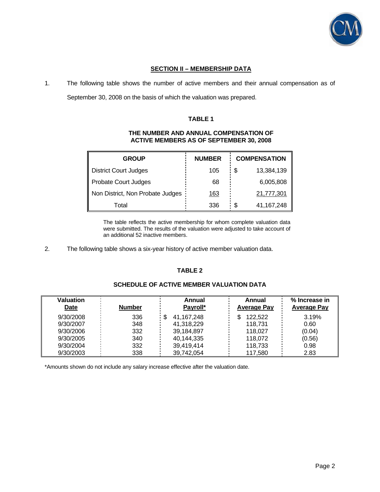

# **SECTION II – MEMBERSHIP DATA**

1. The following table shows the number of active members and their annual compensation as of

September 30, 2008 on the basis of which the valuation was prepared.

### **TABLE 1**

### **THE NUMBER AND ANNUAL COMPENSATION OF ACTIVE MEMBERS AS OF SEPTEMBER 30, 2008**

| <b>GROUP</b>                     | <b>NUMBER</b> | <b>COMPENSATION</b> |
|----------------------------------|---------------|---------------------|
| <b>District Court Judges</b>     | 105           | \$<br>13,384,139    |
| Probate Court Judges             | 68            | 6,005,808           |
| Non District, Non Probate Judges | <u>163</u>    | 21,777,301          |
| Total                            | 336           | \$<br>41, 167, 248  |

 The table reflects the active membership for whom complete valuation data were submitted. The results of the valuation were adjusted to take account of an additional 52 inactive members.

2. The following table shows a six-year history of active member valuation data.

## **TABLE 2**

# **SCHEDULE OF ACTIVE MEMBER VALUATION DATA**

| Valuation<br>Date | <b>Number</b> | Annual<br>Payroll* | Annual<br><b>Average Pay</b> | % Increase in<br><b>Average Pay</b> |
|-------------------|---------------|--------------------|------------------------------|-------------------------------------|
| 9/30/2008         | 336           | 41,167,248         | 122,522                      | 3.19%                               |
| 9/30/2007         | 348           | 41,318,229         | 118,731                      | 0.60                                |
| 9/30/2006         | 332           | 39,184,897         | 118.027                      | (0.04)                              |
| 9/30/2005         | 340           | 40,144,335         | 118.072                      | (0.56)                              |
| 9/30/2004         | 332           | 39,419,414         | 118,733                      | 0.98                                |
| 9/30/2003         | 338           | 39,742,054         | 117,580                      | 2.83                                |

\*Amounts shown do not include any salary increase effective after the valuation date.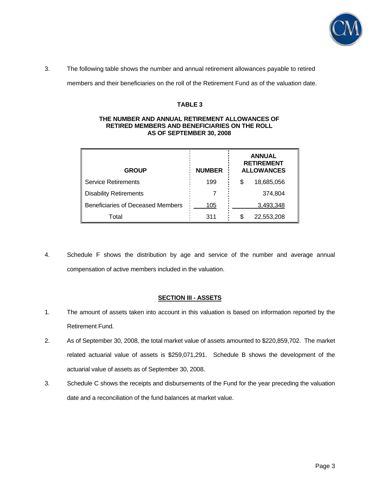

3. The following table shows the number and annual retirement allowances payable to retired

members and their beneficiaries on the roll of the Retirement Fund as of the valuation date.

## **TABLE 3**

#### **THE NUMBER AND ANNUAL RETIREMENT ALLOWANCES OF RETIRED MEMBERS AND BENEFICIARIES ON THE ROLL AS OF SEPTEMBER 30, 2008**

| <b>GROUP</b>                      | <b>NUMBER</b> | <b>ANNUAL</b><br><b>RETIREMENT</b><br><b>ALLOWANCES</b> |
|-----------------------------------|---------------|---------------------------------------------------------|
| <b>Service Retirements</b>        | 199           | 18,685,056<br>\$                                        |
| <b>Disability Retirements</b>     |               | 374,804                                                 |
| Beneficiaries of Deceased Members | 105           | 3,493,348                                               |
| Total                             | 311           | 22,553,208                                              |

4. Schedule F shows the distribution by age and service of the number and average annual compensation of active members included in the valuation.

### **SECTION III - ASSETS**

- 1. The amount of assets taken into account in this valuation is based on information reported by the Retirement Fund.
- 2. As of September 30, 2008, the total market value of assets amounted to \$220,859,702. The market related actuarial value of assets is \$259,071,291. Schedule B shows the development of the actuarial value of assets as of September 30, 2008.
- 3. Schedule C shows the receipts and disbursements of the Fund for the year preceding the valuation date and a reconciliation of the fund balances at market value.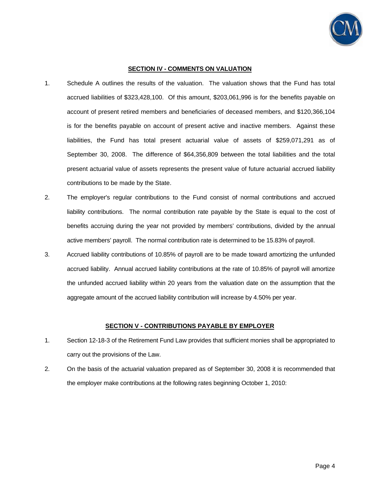

### **SECTION IV - COMMENTS ON VALUATION**

- 1. Schedule A outlines the results of the valuation. The valuation shows that the Fund has total accrued liabilities of \$323,428,100. Of this amount, \$203,061,996 is for the benefits payable on account of present retired members and beneficiaries of deceased members, and \$120,366,104 is for the benefits payable on account of present active and inactive members. Against these liabilities, the Fund has total present actuarial value of assets of \$259,071,291 as of September 30, 2008. The difference of \$64,356,809 between the total liabilities and the total present actuarial value of assets represents the present value of future actuarial accrued liability contributions to be made by the State.
- 2. The employer's regular contributions to the Fund consist of normal contributions and accrued liability contributions. The normal contribution rate payable by the State is equal to the cost of benefits accruing during the year not provided by members' contributions, divided by the annual active members' payroll. The normal contribution rate is determined to be 15.83% of payroll.
- 3. Accrued liability contributions of 10.85% of payroll are to be made toward amortizing the unfunded accrued liability. Annual accrued liability contributions at the rate of 10.85% of payroll will amortize the unfunded accrued liability within 20 years from the valuation date on the assumption that the aggregate amount of the accrued liability contribution will increase by 4.50% per year.

# **SECTION V - CONTRIBUTIONS PAYABLE BY EMPLOYER**

- 1. Section 12-18-3 of the Retirement Fund Law provides that sufficient monies shall be appropriated to carry out the provisions of the Law.
- 2. On the basis of the actuarial valuation prepared as of September 30, 2008 it is recommended that the employer make contributions at the following rates beginning October 1, 2010: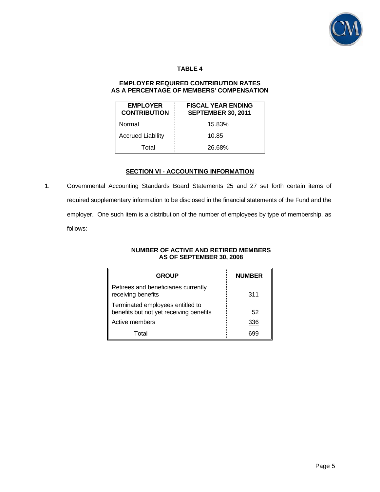

# **TABLE 4**

### **EMPLOYER REQUIRED CONTRIBUTION RATES AS A PERCENTAGE OF MEMBERS' COMPENSATION**

| <b>EMPLOYER</b><br><b>CONTRIBUTION</b> | <b>FISCAL YEAR ENDING</b><br><b>SEPTEMBER 30, 2011</b> |
|----------------------------------------|--------------------------------------------------------|
| Normal                                 | 15.83%                                                 |
| <b>Accrued Liability</b>               | 10.85                                                  |
| Total                                  | 26.68%                                                 |

## **SECTION VI - ACCOUNTING INFORMATION**

1. Governmental Accounting Standards Board Statements 25 and 27 set forth certain items of required supplementary information to be disclosed in the financial statements of the Fund and the employer. One such item is a distribution of the number of employees by type of membership, as follows:

### **NUMBER OF ACTIVE AND RETIRED MEMBERS AS OF SEPTEMBER 30, 2008**

| <b>GROUP</b>                                                                | <b>NUMBER</b> |
|-----------------------------------------------------------------------------|---------------|
| Retirees and beneficiaries currently<br>receiving benefits                  | 311           |
| Terminated employees entitled to<br>benefits but not yet receiving benefits | 52            |
| Active members                                                              | 336           |
| Total                                                                       | nyy           |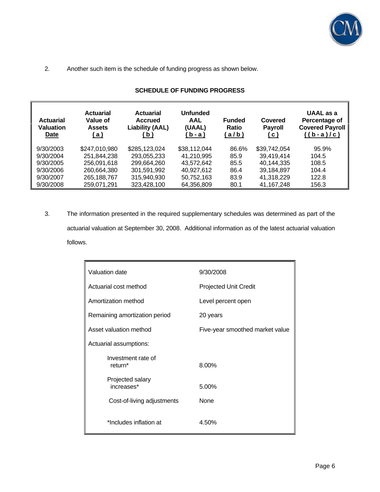

2. Another such item is the schedule of funding progress as shown below.

| <b>Actuarial</b><br><b>Valuation</b><br>Date | <b>Actuarial</b><br>Value of<br><b>Assets</b><br><u>(a)</u> | <b>Actuarial</b><br><b>Accrued</b><br><b>Liability (AAL)</b><br>(b) | <b>Unfunded</b><br><b>AAL</b><br>(UAAL)<br>(b - a) | <b>Funded</b><br>Ratio<br><u>(a/b)</u> | Covered<br><b>Payroll</b><br><u>( c )</u> | UAAL as a<br>Percentage of<br><b>Covered Payroll</b><br>$((b-a)/c)$ |
|----------------------------------------------|-------------------------------------------------------------|---------------------------------------------------------------------|----------------------------------------------------|----------------------------------------|-------------------------------------------|---------------------------------------------------------------------|
| 9/30/2003                                    | \$247,010,980                                               | \$285,123,024                                                       | \$38,112,044                                       | 86.6%                                  | \$39,742,054                              | 95.9%                                                               |
| 9/30/2004                                    | 251,844,238                                                 | 293,055,233                                                         | 41,210,995                                         | 85.9                                   | 39,419,414                                | 104.5                                                               |
| 9/30/2005                                    | 256,091,618                                                 | 299,664,260                                                         | 43,572,642                                         | 85.5                                   | 40,144,335                                | 108.5                                                               |
| 9/30/2006                                    | 260,664,380                                                 | 301,591,992                                                         | 40.927.612                                         | 86.4                                   | 39,184,897                                | 104.4                                                               |
| 9/30/2007                                    | 265,188,767                                                 | 315,940,930                                                         | 50,752,163                                         | 83.9                                   | 41,318,229                                | 122.8                                                               |
| 9/30/2008                                    | 259,071,291                                                 | 323,428,100                                                         | 64,356,809                                         | 80.1                                   | 41, 167, 248                              | 156.3                                                               |

# **SCHEDULE OF FUNDING PROGRESS**

3. The information presented in the required supplementary schedules was determined as part of the actuarial valuation at September 30, 2008. Additional information as of the latest actuarial valuation follows.

| Valuation date                            | 9/30/2008                       |
|-------------------------------------------|---------------------------------|
| Actuarial cost method                     | <b>Projected Unit Credit</b>    |
| Amortization method                       | Level percent open              |
| Remaining amortization period             | 20 years                        |
| Asset valuation method                    | Five-year smoothed market value |
| Actuarial assumptions:                    |                                 |
| Investment rate of<br>return <sup>*</sup> | 8.00%                           |
| Projected salary<br>increases*            | 5.00%                           |
| Cost-of-living adjustments                | None                            |
| *Includes inflation at                    | 4.50%                           |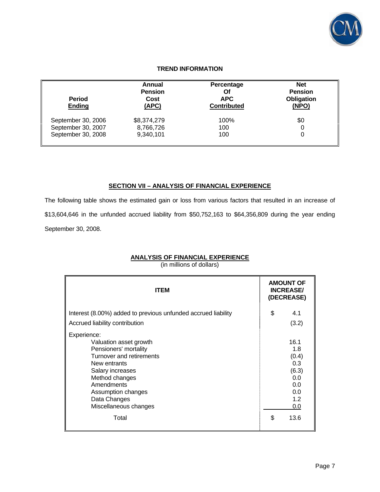

# **TREND INFORMATION**

| <b>Period</b><br><b>Ending</b> | Annual<br><b>Pension</b><br>Cost<br>(APC) | Percentage<br>Οf<br><b>APC</b><br><b>Contributed</b> | <b>Net</b><br><b>Pension</b><br><b>Obligation</b><br>(NPO) |
|--------------------------------|-------------------------------------------|------------------------------------------------------|------------------------------------------------------------|
| September 30, 2006             | \$8,374,279                               | 100%                                                 | \$0                                                        |
| September 30, 2007             | 8,766,726                                 | 100                                                  | 0                                                          |
| September 30, 2008             | 9,340,101                                 | 100                                                  | 0                                                          |

## **SECTION VII – ANALYSIS OF FINANCIAL EXPERIENCE**

The following table shows the estimated gain or loss from various factors that resulted in an increase of \$13,604,646 in the unfunded accrued liability from \$50,752,163 to \$64,356,809 during the year ending September 30, 2008.

## **ANALYSIS OF FINANCIAL EXPERIENCE**

(in millions of dollars)

| <b>ITEM</b>                                                                                                                                                                                                                            |    | <b>AMOUNT OF</b><br><b>INCREASE/</b><br>(DECREASE)                              |
|----------------------------------------------------------------------------------------------------------------------------------------------------------------------------------------------------------------------------------------|----|---------------------------------------------------------------------------------|
| Interest (8.00%) added to previous unfunded accrued liability<br>Accrued liability contribution                                                                                                                                        |    | 4.1<br>(3.2)                                                                    |
| Experience:<br>Valuation asset growth<br>Pensioners' mortality<br>Turnover and retirements<br>New entrants<br>Salary increases<br>Method changes<br>Amendments<br>Assumption changes<br>Data Changes<br>Miscellaneous changes<br>Total | \$ | 16.1<br>1.8<br>(0.4)<br>0.3<br>(6.3)<br>0.0<br>0.0<br>0.0<br>1.2<br>0.0<br>13.6 |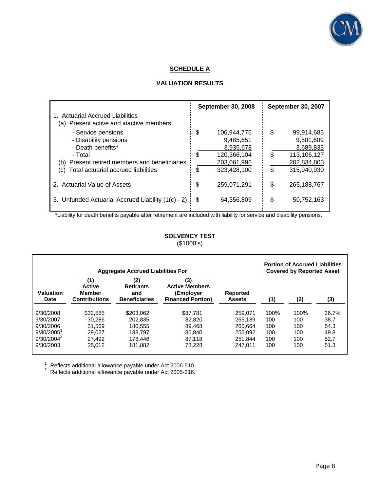

# **SCHEDULE A**

# **VALUATION RESULTS**

|                                                    |     | <b>September 30, 2008</b> |    | <b>September 30, 2007</b> |
|----------------------------------------------------|-----|---------------------------|----|---------------------------|
| 1. Actuarial Accrued Liabilities                   |     |                           |    |                           |
| (a) Present active and inactive members            |     |                           |    |                           |
| - Service pensions                                 | \$  | 106,944,775               | \$ | 99,914,685                |
| - Disability pensions                              |     | 9,485,651                 |    | 9,501,609                 |
| - Death benefits*                                  |     | 3,935,678                 |    | 3,689,833                 |
| - Total                                            | \$  | 120,366,104               | \$ | 113,106,127               |
| (b) Present retired members and beneficiaries      |     | 203,061,996               |    | 202,834,803               |
| Total actuarial accrued liabilities<br>(C)         | \$  | 323.428.100               | \$ | 315.940.930               |
| 2. Actuarial Value of Assets                       | \$  | 259,071,291               | \$ | 265, 188, 767             |
|                                                    |     |                           |    |                           |
| 3. Unfunded Actuarial Accrued Liability (1(c) - 2) | \$. | 64,356,809                | \$ | 50,752,163                |

\*Liability for death benefits payable after retirement are included with liability for service and disability pensions.

## **SOLVENCY TEST**  (\$1000's)

|                                                                                                                                              | <b>Aggregate Accrued Liabilities For</b> |                                                                       |                                  | <b>Portion of Accrued Liabilities</b><br><b>Covered by Reported Asset</b> |      |      |       |
|----------------------------------------------------------------------------------------------------------------------------------------------|------------------------------------------|-----------------------------------------------------------------------|----------------------------------|---------------------------------------------------------------------------|------|------|-------|
| (2)<br>(1)<br><b>Retirants</b><br><b>Active</b><br>Valuation<br><b>Member</b><br>and<br><b>Contributions</b><br><b>Beneficiaries</b><br>Date |                                          | (3)<br><b>Active Members</b><br>(Employer<br><b>Financed Portion)</b> | <b>Reported</b><br><b>Assets</b> | (1)                                                                       | (2)  | (3)  |       |
| 9/30/2008                                                                                                                                    | \$32.585                                 | \$203.062                                                             | \$87.781                         | 259.071                                                                   | 100% | 100% | 26.7% |
| 9/30/2007                                                                                                                                    | 30.286                                   | 202.835                                                               | 82,820                           | 265.189                                                                   | 100  | 100  | 38.7  |
| 9/30/2006                                                                                                                                    | 31.569                                   | 180.555                                                               | 89.468                           | 260.664                                                                   | 100  | 100  | 54.3  |
| $9/30/2005$ <sup>1</sup>                                                                                                                     | 29.027                                   | 183.797                                                               | 86.840                           | 256.092                                                                   | 100  | 100  | 49.8  |
| $9/30/2004^2$                                                                                                                                | 27.492                                   | 178.446                                                               | 87.118                           | 251.844                                                                   | 100  | 100  | 52.7  |
| 9/30/2003                                                                                                                                    | 25.012                                   | 181.882                                                               | 78.228                           | 247.011                                                                   | 100  | 100  | 51.3  |

1 Reflects additional allowance payable under Act 2006-510.<br><sup>2</sup> Reflects additional allowance payable under Act 2005-316.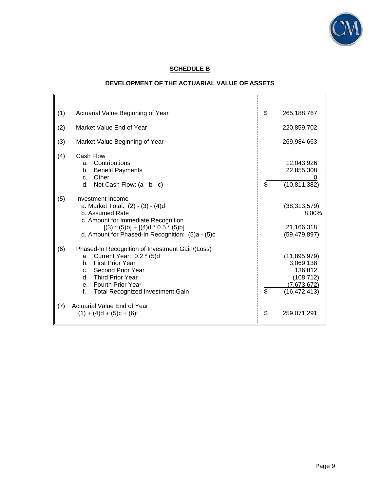

# **SCHEDULE B**

# **DEVELOPMENT OF THE ACTUARIAL VALUE OF ASSETS**

 $\mathbf{r}$ 

| (1) | Actuarial Value Beginning of Year                                                                                                                                                                                                | \$                       | 265, 188, 767                                                                         |
|-----|----------------------------------------------------------------------------------------------------------------------------------------------------------------------------------------------------------------------------------|--------------------------|---------------------------------------------------------------------------------------|
| (2) | Market Value End of Year                                                                                                                                                                                                         |                          | 220,859,702                                                                           |
| (3) | Market Value Beginning of Year                                                                                                                                                                                                   |                          | 269,984,663                                                                           |
| (4) | Cash Flow<br>a. Contributions<br><b>Benefit Payments</b><br>b.<br>Other<br>C <sub>1</sub><br>d. Net Cash Flow: $(a - b - c)$                                                                                                     | \$                       | 12,043,926<br>22,855,308<br>(10, 811, 382)                                            |
| (5) | Investment Income<br>a. Market Total: (2) - (3) - (4)d<br>b. Assumed Rate<br>c. Amount for Immediate Recognition<br>$[(3) * (5)b] + [(4)d * 0.5 * (5)b]$<br>d. Amount for Phased-In Recognition: (5)a - (5)c                     |                          | (38, 313, 579)<br>8.00%<br>21,166,318<br>(59, 479, 897)                               |
| (6) | Phased-In Recognition of Investment Gain/(Loss)<br>Current Year: 0.2 * (5)d<br>a.<br>b. First Prior Year<br>c. Second Prior Year<br>d. Third Prior Year<br>e. Fourth Prior Year<br>f.<br><b>Total Recognized Investment Gain</b> | $\overline{\mathcal{S}}$ | (11, 895, 979)<br>3,069,138<br>136,812<br>(108, 712)<br>(7,673,672)<br>(16, 472, 413) |
| (7) | Actuarial Value End of Year<br>$(1) + (4)d + (5)c + (6)f$                                                                                                                                                                        | \$                       | 259,071,291                                                                           |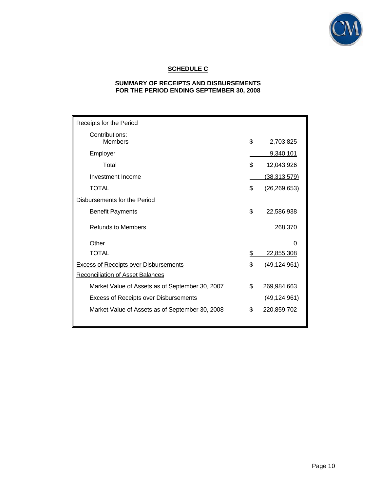

# **SCHEDULE C**

# **SUMMARY OF RECEIPTS AND DISBURSEMENTS FOR THE PERIOD ENDING SEPTEMBER 30, 2008**

| <b>Receipts for the Period</b>                  |    |                     |
|-------------------------------------------------|----|---------------------|
| Contributions:<br><b>Members</b>                | \$ | 2,703,825           |
| Employer                                        |    | 9,340,101           |
| Total                                           | \$ | 12,043,926          |
| Investment Income                               |    | <u>(38,313,579)</u> |
| <b>TOTAL</b>                                    | \$ | (26, 269, 653)      |
| Disbursements for the Period                    |    |                     |
| <b>Benefit Payments</b>                         | \$ | 22,586,938          |
| <b>Refunds to Members</b>                       |    | 268,370             |
| Other                                           |    | 0                   |
| <b>TOTAL</b>                                    | \$ | 22,855,308          |
| <b>Excess of Receipts over Disbursements</b>    | \$ | (49, 124, 961)      |
| <b>Reconciliation of Asset Balances</b>         |    |                     |
| Market Value of Assets as of September 30, 2007 | \$ | 269,984,663         |
| <b>Excess of Receipts over Disbursements</b>    |    | (49, 124, 961)      |
| Market Value of Assets as of September 30, 2008 | S  | 220,859,702         |
|                                                 |    |                     |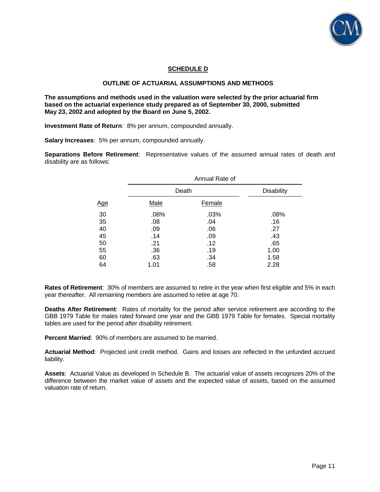

# **SCHEDULE D**

### **OUTLINE OF ACTUARIAL ASSUMPTIONS AND METHODS**

**The assumptions and methods used in the valuation were selected by the prior actuarial firm based on the actuarial experience study prepared as of September 30, 2000, submitted May 23, 2002 and adopted by the Board on June 5, 2002.** 

**Investment Rate of Return**: 8% per annum, compounded annually.

**Salary Increases**: 5% per annum, compounded annually.

**Separations Before Retirement**: Representative values of the assumed annual rates of death and disability are as follows:

|             | Annual Rate of    |       |
|-------------|-------------------|-------|
|             | <b>Disability</b> |       |
| <b>Male</b> | <b>Female</b>     |       |
| .08%        | .03%              | .08%  |
| .08         | .04               | .16   |
| .09         | .06               | .27   |
| .14         | .09               | .43   |
| .21         | .12               | .65   |
| .36         | .19               | 1.00  |
| .63         | .34               | 1.58  |
| 1.01        | .58               | 2.28  |
|             |                   | Death |

**Rates of Retirement**: 30% of members are assumed to retire in the year when first eligible and 5% in each year thereafter. All remaining members are assumed to retire at age 70.

**Deaths After Retirement**: Rates of mortality for the period after service retirement are according to the GBB 1979 Table for males rated forward one year and the GBB 1979 Table for females. Special mortality tables are used for the period after disability retirement.

**Percent Married**: 90% of members are assumed to be married.

**Actuarial Method**: Projected unit credit method. Gains and losses are reflected in the unfunded accrued liability.

**Assets**: Actuarial Value as developed in Schedule B. The actuarial value of assets recognizes 20% of the difference between the market value of assets and the expected value of assets, based on the assumed valuation rate of return.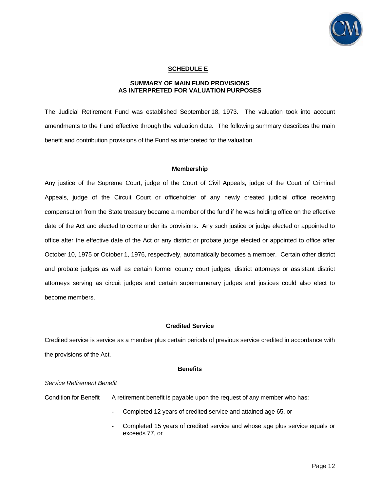

### **SCHEDULE E**

### **SUMMARY OF MAIN FUND PROVISIONS AS INTERPRETED FOR VALUATION PURPOSES**

The Judicial Retirement Fund was established September 18, 1973. The valuation took into account amendments to the Fund effective through the valuation date. The following summary describes the main benefit and contribution provisions of the Fund as interpreted for the valuation.

### **Membership**

Any justice of the Supreme Court, judge of the Court of Civil Appeals, judge of the Court of Criminal Appeals, judge of the Circuit Court or officeholder of any newly created judicial office receiving compensation from the State treasury became a member of the fund if he was holding office on the effective date of the Act and elected to come under its provisions. Any such justice or judge elected or appointed to office after the effective date of the Act or any district or probate judge elected or appointed to office after October 10, 1975 or October 1, 1976, respectively, automatically becomes a member. Certain other district and probate judges as well as certain former county court judges, district attorneys or assistant district attorneys serving as circuit judges and certain supernumerary judges and justices could also elect to become members.

### **Credited Service**

Credited service is service as a member plus certain periods of previous service credited in accordance with the provisions of the Act.

#### **Benefits**

#### *Service Retirement Benefit*

Condition for Benefit A retirement benefit is payable upon the request of any member who has:

- Completed 12 years of credited service and attained age 65, or
- Completed 15 years of credited service and whose age plus service equals or exceeds 77, or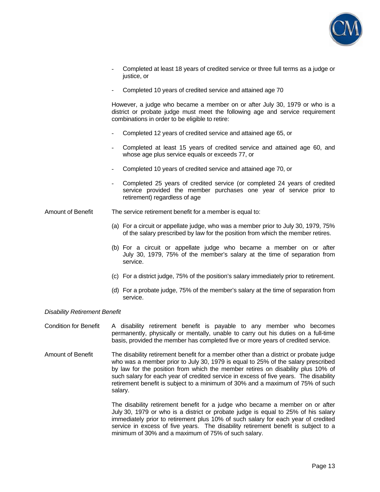

- Completed at least 18 years of credited service or three full terms as a judge or justice, or
- Completed 10 years of credited service and attained age 70

However, a judge who became a member on or after July 30, 1979 or who is a district or probate judge must meet the following age and service requirement combinations in order to be eligible to retire:

- Completed 12 years of credited service and attained age 65, or
- Completed at least 15 years of credited service and attained age 60, and whose age plus service equals or exceeds 77, or
- Completed 10 years of credited service and attained age 70, or
- Completed 25 years of credited service (or completed 24 years of credited service provided the member purchases one year of service prior to retirement) regardless of age

Amount of Benefit The service retirement benefit for a member is equal to:

- (a) For a circuit or appellate judge, who was a member prior to July 30, 1979, 75% of the salary prescribed by law for the position from which the member retires.
- (b) For a circuit or appellate judge who became a member on or after July 30, 1979, 75% of the member's salary at the time of separation from service.
- (c) For a district judge, 75% of the position's salary immediately prior to retirement.
- (d) For a probate judge, 75% of the member's salary at the time of separation from service.

### *Disability Retirement Benefit*

Condition for Benefit A disability retirement benefit is payable to any member who becomes permanently, physically or mentally, unable to carry out his duties on a full-time basis, provided the member has completed five or more years of credited service.

Amount of Benefit The disability retirement benefit for a member other than a district or probate judge who was a member prior to July 30, 1979 is equal to 25% of the salary prescribed by law for the position from which the member retires on disability plus 10% of such salary for each year of credited service in excess of five years. The disability retirement benefit is subject to a minimum of 30% and a maximum of 75% of such salary.

> The disability retirement benefit for a judge who became a member on or after July 30, 1979 or who is a district or probate judge is equal to 25% of his salary immediately prior to retirement plus 10% of such salary for each year of credited service in excess of five years. The disability retirement benefit is subject to a minimum of 30% and a maximum of 75% of such salary.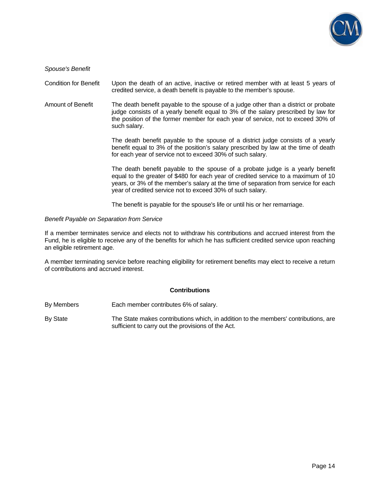

*Spouse's Benefit* 

Condition for Benefit Upon the death of an active, inactive or retired member with at least 5 years of credited service, a death benefit is payable to the member's spouse.

Amount of Benefit The death benefit payable to the spouse of a judge other than a district or probate judge consists of a yearly benefit equal to 3% of the salary prescribed by law for the position of the former member for each year of service, not to exceed 30% of such salary.

> The death benefit payable to the spouse of a district judge consists of a yearly benefit equal to 3% of the position's salary prescribed by law at the time of death for each year of service not to exceed 30% of such salary.

> The death benefit payable to the spouse of a probate judge is a yearly benefit equal to the greater of \$480 for each year of credited service to a maximum of 10 years, or 3% of the member's salary at the time of separation from service for each year of credited service not to exceed 30% of such salary.

The benefit is payable for the spouse's life or until his or her remarriage.

#### *Benefit Payable on Separation from Service*

If a member terminates service and elects not to withdraw his contributions and accrued interest from the Fund, he is eligible to receive any of the benefits for which he has sufficient credited service upon reaching an eligible retirement age.

A member terminating service before reaching eligibility for retirement benefits may elect to receive a return of contributions and accrued interest.

### **Contributions**

- By Members Each member contributes 6% of salary.
- By State The State makes contributions which, in addition to the members' contributions, are sufficient to carry out the provisions of the Act.